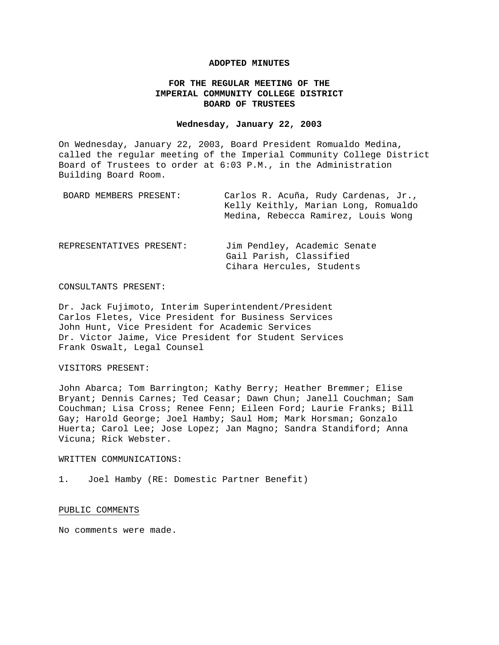# **ADOPTED MINUTES**

# **FOR THE REGULAR MEETING OF THE IMPERIAL COMMUNITY COLLEGE DISTRICT BOARD OF TRUSTEES**

#### **Wednesday, January 22, 2003**

On Wednesday, January 22, 2003, Board President Romualdo Medina, called the regular meeting of the Imperial Community College District Board of Trustees to order at 6:03 P.M., in the Administration Building Board Room.

| BOARD MEMBERS PRESENT:   | Carlos R. Acuña, Rudy Cardenas, Jr.,<br>Kelly Keithly, Marian Long, Romualdo<br>Medina, Rebecca Ramirez, Louis Wong |
|--------------------------|---------------------------------------------------------------------------------------------------------------------|
| REPRESENTATIVES PRESENT: | Jim Pendley, Academic Senate<br>Gail Parish, Classified<br>Cihara Hercules, Students                                |

# CONSULTANTS PRESENT:

Dr. Jack Fujimoto, Interim Superintendent/President Carlos Fletes, Vice President for Business Services John Hunt, Vice President for Academic Services Dr. Victor Jaime, Vice President for Student Services Frank Oswalt, Legal Counsel

# VISITORS PRESENT:

John Abarca; Tom Barrington; Kathy Berry; Heather Bremmer; Elise Bryant; Dennis Carnes; Ted Ceasar; Dawn Chun; Janell Couchman; Sam Couchman; Lisa Cross; Renee Fenn; Eileen Ford; Laurie Franks; Bill Gay; Harold George; Joel Hamby; Saul Hom; Mark Horsman; Gonzalo Huerta; Carol Lee; Jose Lopez; Jan Magno; Sandra Standiford; Anna Vicuna; Rick Webster.

# WRITTEN COMMUNICATIONS:

1. Joel Hamby (RE: Domestic Partner Benefit)

# PUBLIC COMMENTS

No comments were made.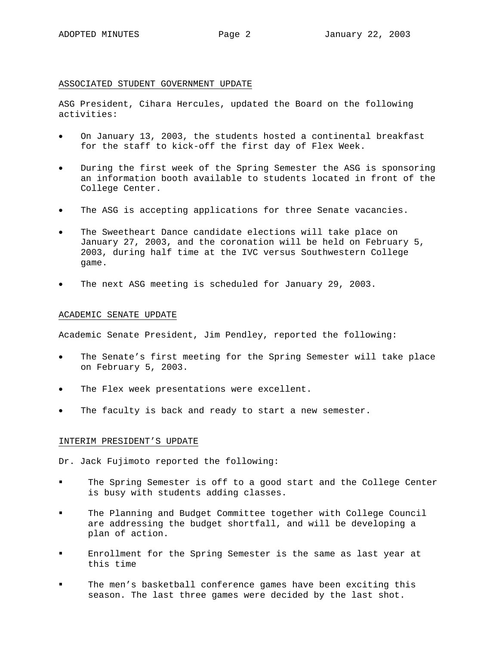# ASSOCIATED STUDENT GOVERNMENT UPDATE

ASG President, Cihara Hercules, updated the Board on the following activities:

- On January 13, 2003, the students hosted a continental breakfast for the staff to kick-off the first day of Flex Week.
- During the first week of the Spring Semester the ASG is sponsoring an information booth available to students located in front of the College Center.
- The ASG is accepting applications for three Senate vacancies.
- The Sweetheart Dance candidate elections will take place on January 27, 2003, and the coronation will be held on February 5, 2003, during half time at the IVC versus Southwestern College game.
- The next ASG meeting is scheduled for January 29, 2003.

#### ACADEMIC SENATE UPDATE

Academic Senate President, Jim Pendley, reported the following:

- The Senate's first meeting for the Spring Semester will take place on February 5, 2003.
- The Flex week presentations were excellent.
- The faculty is back and ready to start a new semester.

### INTERIM PRESIDENT'S UPDATE

Dr. Jack Fujimoto reported the following:

- The Spring Semester is off to a good start and the College Center is busy with students adding classes.
- The Planning and Budget Committee together with College Council are addressing the budget shortfall, and will be developing a plan of action.
- Enrollment for the Spring Semester is the same as last year at this time
- The men's basketball conference games have been exciting this season. The last three games were decided by the last shot.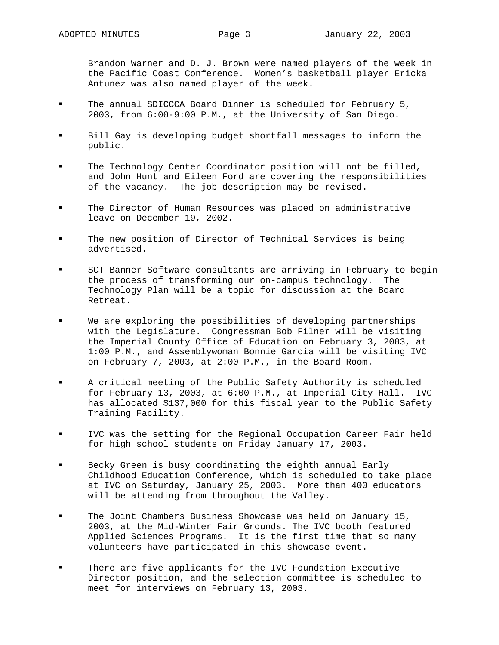Brandon Warner and D. J. Brown were named players of the week in the Pacific Coast Conference. Women's basketball player Ericka Antunez was also named player of the week.

- The annual SDICCCA Board Dinner is scheduled for February 5, 2003, from 6:00-9:00 P.M., at the University of San Diego.
- Bill Gay is developing budget shortfall messages to inform the public.
- The Technology Center Coordinator position will not be filled, and John Hunt and Eileen Ford are covering the responsibilities of the vacancy. The job description may be revised.
- The Director of Human Resources was placed on administrative leave on December 19, 2002.
- The new position of Director of Technical Services is being advertised.
- SCT Banner Software consultants are arriving in February to begin the process of transforming our on-campus technology. The Technology Plan will be a topic for discussion at the Board Retreat.
- We are exploring the possibilities of developing partnerships with the Legislature. Congressman Bob Filner will be visiting the Imperial County Office of Education on February 3, 2003, at 1:00 P.M., and Assemblywoman Bonnie Garcia will be visiting IVC on February 7, 2003, at 2:00 P.M., in the Board Room.
- A critical meeting of the Public Safety Authority is scheduled for February 13, 2003, at 6:00 P.M., at Imperial City Hall. IVC has allocated \$137,000 for this fiscal year to the Public Safety Training Facility.
- IVC was the setting for the Regional Occupation Career Fair held for high school students on Friday January 17, 2003.
- Becky Green is busy coordinating the eighth annual Early Childhood Education Conference, which is scheduled to take place at IVC on Saturday, January 25, 2003. More than 400 educators will be attending from throughout the Valley.
- The Joint Chambers Business Showcase was held on January 15, 2003, at the Mid-Winter Fair Grounds. The IVC booth featured Applied Sciences Programs. It is the first time that so many volunteers have participated in this showcase event.
- There are five applicants for the IVC Foundation Executive Director position, and the selection committee is scheduled to meet for interviews on February 13, 2003.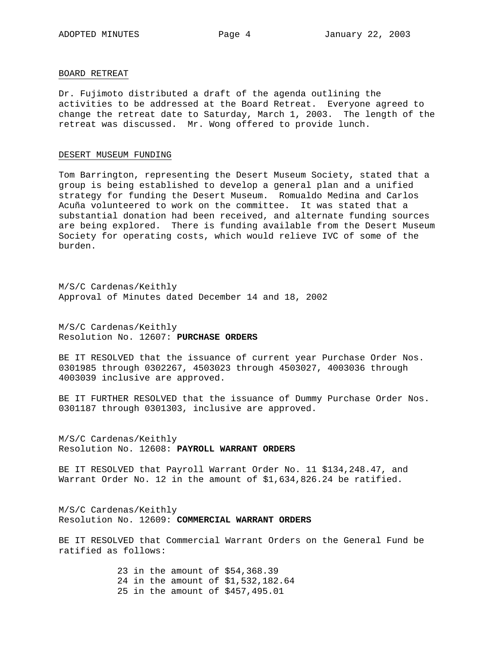### BOARD RETREAT

Dr. Fujimoto distributed a draft of the agenda outlining the activities to be addressed at the Board Retreat. Everyone agreed to change the retreat date to Saturday, March 1, 2003. The length of the retreat was discussed. Mr. Wong offered to provide lunch.

#### DESERT MUSEUM FUNDING

Tom Barrington, representing the Desert Museum Society, stated that a group is being established to develop a general plan and a unified strategy for funding the Desert Museum. Romualdo Medina and Carlos Acuña volunteered to work on the committee. It was stated that a substantial donation had been received, and alternate funding sources are being explored. There is funding available from the Desert Museum Society for operating costs, which would relieve IVC of some of the burden.

M/S/C Cardenas/Keithly Approval of Minutes dated December 14 and 18, 2002

M/S/C Cardenas/Keithly Resolution No. 12607: **PURCHASE ORDERS**

BE IT RESOLVED that the issuance of current year Purchase Order Nos. 0301985 through 0302267, 4503023 through 4503027, 4003036 through 4003039 inclusive are approved.

BE IT FURTHER RESOLVED that the issuance of Dummy Purchase Order Nos. 0301187 through 0301303, inclusive are approved.

M/S/C Cardenas/Keithly Resolution No. 12608: **PAYROLL WARRANT ORDERS**

BE IT RESOLVED that Payroll Warrant Order No. 11 \$134,248.47, and Warrant Order No. 12 in the amount of \$1,634,826.24 be ratified.

M/S/C Cardenas/Keithly Resolution No. 12609: **COMMERCIAL WARRANT ORDERS**

BE IT RESOLVED that Commercial Warrant Orders on the General Fund be ratified as follows:

> 23 in the amount of \$54,368.39 24 in the amount of \$1,532,182.64 25 in the amount of \$457,495.01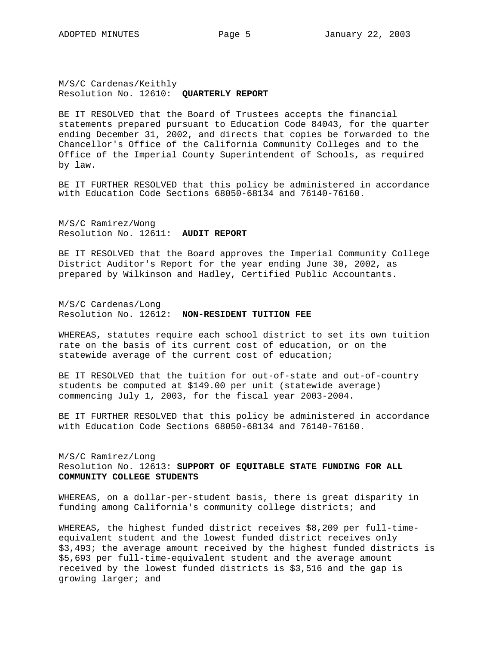M/S/C Cardenas/Keithly Resolution No. 12610: **QUARTERLY REPORT** 

BE IT RESOLVED that the Board of Trustees accepts the financial statements prepared pursuant to Education Code 84043, for the quarter ending December 31, 2002, and directs that copies be forwarded to the Chancellor's Office of the California Community Colleges and to the Office of the Imperial County Superintendent of Schools, as required by law.

BE IT FURTHER RESOLVED that this policy be administered in accordance with Education Code Sections 68050-68134 and 76140-76160.

M/S/C Ramirez/Wong Resolution No. 12611: **AUDIT REPORT**

BE IT RESOLVED that the Board approves the Imperial Community College District Auditor's Report for the year ending June 30, 2002, as prepared by Wilkinson and Hadley, Certified Public Accountants.

M/S/C Cardenas/Long Resolution No. 12612: **NON-RESIDENT TUITION FEE**

WHEREAS, statutes require each school district to set its own tuition rate on the basis of its current cost of education, or on the statewide average of the current cost of education;

BE IT RESOLVED that the tuition for out-of-state and out-of-country students be computed at \$149.00 per unit (statewide average) commencing July 1, 2003, for the fiscal year 2003-2004.

BE IT FURTHER RESOLVED that this policy be administered in accordance with Education Code Sections 68050-68134 and 76140-76160.

M/S/C Ramirez/Long Resolution No. 12613: **SUPPORT OF EQUITABLE STATE FUNDING FOR ALL COMMUNITY COLLEGE STUDENTS**

WHEREAS, on a dollar-per-student basis, there is great disparity in funding among California's community college districts; and

WHEREAS*,* the highest funded district receives \$8,209 per full-timeequivalent student and the lowest funded district receives only \$3,493; the average amount received by the highest funded districts is \$5,693 per full-time-equivalent student and the average amount received by the lowest funded districts is \$3,516 and the gap is growing larger; and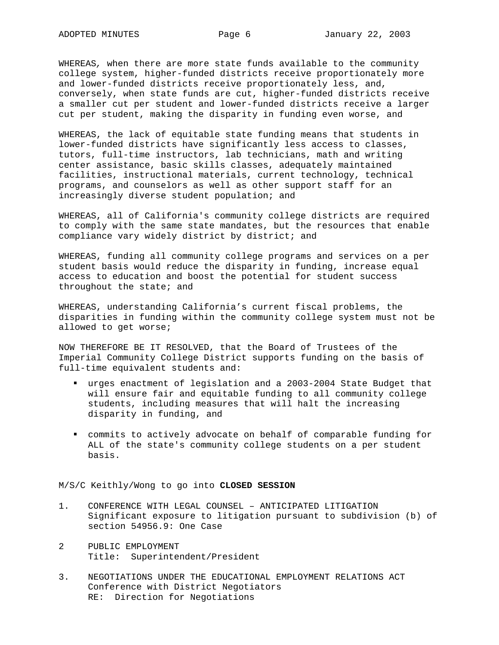WHEREAS*,* when there are more state funds available to the community college system, higher-funded districts receive proportionately more and lower-funded districts receive proportionately less, and, conversely, when state funds are cut, higher-funded districts receive a smaller cut per student and lower-funded districts receive a larger cut per student, making the disparity in funding even worse, and

WHEREAS, the lack of equitable state funding means that students in lower-funded districts have significantly less access to classes, tutors, full-time instructors, lab technicians, math and writing center assistance, basic skills classes, adequately maintained facilities, instructional materials, current technology, technical programs, and counselors as well as other support staff for an increasingly diverse student population; and

WHEREAS, all of California's community college districts are required to comply with the same state mandates, but the resources that enable compliance vary widely district by district; and

WHEREAS, funding all community college programs and services on a per student basis would reduce the disparity in funding, increase equal access to education and boost the potential for student success throughout the state; and

WHEREAS, understanding California's current fiscal problems, the disparities in funding within the community college system must not be allowed to get worse;

NOW THEREFORE BE IT RESOLVED, that the Board of Trustees of the Imperial Community College District supports funding on the basis of full-time equivalent students and:

- urges enactment of legislation and a 2003-2004 State Budget that will ensure fair and equitable funding to all community college students, including measures that will halt the increasing disparity in funding, and
- commits to actively advocate on behalf of comparable funding for ALL of the state's community college students on a per student basis.

#### M/S/C Keithly/Wong to go into **CLOSED SESSION**

- 1. CONFERENCE WITH LEGAL COUNSEL ANTICIPATED LITIGATION Significant exposure to litigation pursuant to subdivision (b) of section 54956.9: One Case
- 2 PUBLIC EMPLOYMENT Title: Superintendent/President
- 3. NEGOTIATIONS UNDER THE EDUCATIONAL EMPLOYMENT RELATIONS ACT Conference with District Negotiators RE: Direction for Negotiations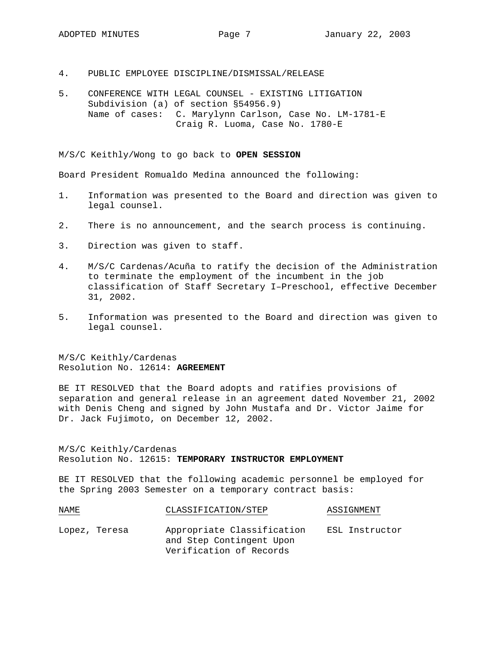- 4. PUBLIC EMPLOYEE DISCIPLINE/DISMISSAL/RELEASE
- 5. CONFERENCE WITH LEGAL COUNSEL EXISTING LITIGATION Subdivision (a) of section §54956.9) Name of cases: C. Marylynn Carlson, Case No. LM-1781-E Craig R. Luoma, Case No. 1780-E

M/S/C Keithly/Wong to go back to **OPEN SESSION** 

Board President Romualdo Medina announced the following:

- 1. Information was presented to the Board and direction was given to legal counsel.
- 2. There is no announcement, and the search process is continuing.
- 3. Direction was given to staff.
- 4. M/S/C Cardenas/Acuña to ratify the decision of the Administration to terminate the employment of the incumbent in the job classification of Staff Secretary I–Preschool, effective December 31, 2002.
- 5. Information was presented to the Board and direction was given to legal counsel.

M/S/C Keithly/Cardenas Resolution No. 12614: **AGREEMENT**

BE IT RESOLVED that the Board adopts and ratifies provisions of separation and general release in an agreement dated November 21, 2002 with Denis Cheng and signed by John Mustafa and Dr. Victor Jaime for Dr. Jack Fujimoto, on December 12, 2002.

M/S/C Keithly/Cardenas Resolution No. 12615: **TEMPORARY INSTRUCTOR EMPLOYMENT**

BE IT RESOLVED that the following academic personnel be employed for the Spring 2003 Semester on a temporary contract basis:

| NAME.         | CLASSIFICATION/STEP |                                                                                   | ASSIGNMENT |                |
|---------------|---------------------|-----------------------------------------------------------------------------------|------------|----------------|
| Lopez, Teresa |                     | Appropriate Classification<br>and Step Contingent Upon<br>Verification of Records |            | ESL Instructor |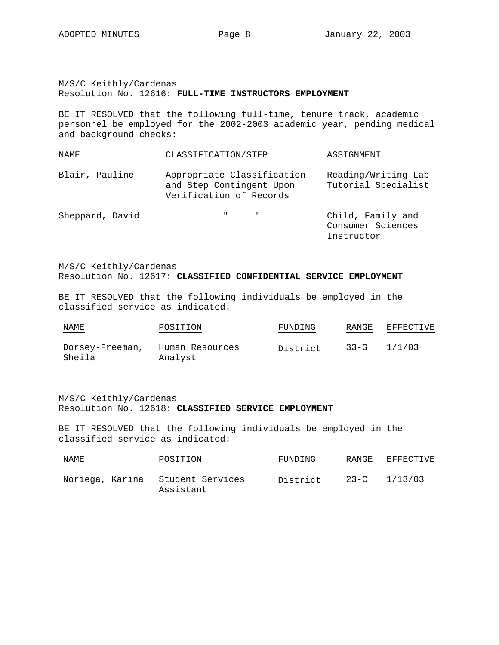Instructor

M/S/C Keithly/Cardenas Resolution No. 12616: **FULL-TIME INSTRUCTORS EMPLOYMENT**

BE IT RESOLVED that the following full-time, tenure track, academic personnel be employed for the 2002-2003 academic year, pending medical and background checks:

| NAME            | CLASSIFICATION/STEP                                                               | ASSIGNMENT                                 |
|-----------------|-----------------------------------------------------------------------------------|--------------------------------------------|
| Blair, Pauline  | Appropriate Classification<br>and Step Contingent Upon<br>Verification of Records | Reading/Writing Lab<br>Tutorial Specialist |
| Sheppard, David | $\mathbf{u}$ and $\mathbf{u}$                                                     | Child, Family and<br>Consumer Sciences     |

M/S/C Keithly/Cardenas Resolution No. 12617: **CLASSIFIED CONFIDENTIAL SERVICE EMPLOYMENT**

BE IT RESOLVED that the following individuals be employed in the classified service as indicated:

| NAME                      | POSITION                   | FUNDING  | RANGE    | EFFECTIVE |
|---------------------------|----------------------------|----------|----------|-----------|
| Dorsey-Freeman,<br>Sheila | Human Resources<br>Analyst | District | $33 - G$ | 1/1/03    |

M/S/C Keithly/Cardenas Resolution No. 12618: **CLASSIFIED SERVICE EMPLOYMENT**

BE IT RESOLVED that the following individuals be employed in the classified service as indicated:

| NAME<br>$\sim$ $\sim$ $\sim$ $\sim$ $\sim$ $\sim$ $\sim$ | POSITION  | FUNDING  | RANGE | EFFECTIVE        |
|----------------------------------------------------------|-----------|----------|-------|------------------|
| Noriega, Karina Student Services                         | Assistant | District |       | $23-C$ $1/13/03$ |